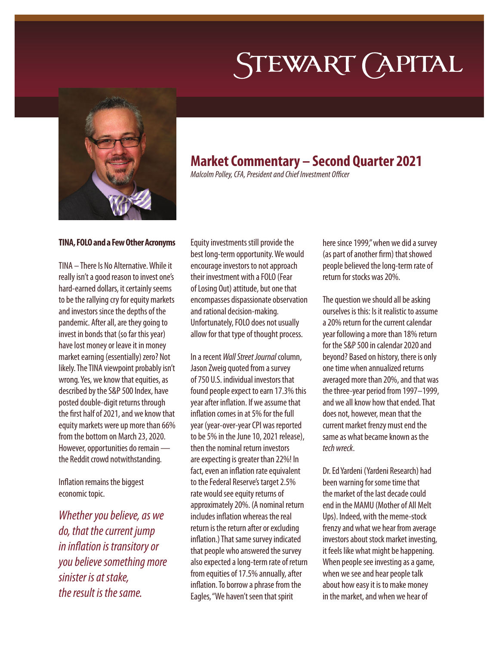# STEWART (APITAL



## **Market Commentary – Second Quarter 2021**

*Malcolm Polley, CFA, President and Chief Investment Officer*

#### **TINA, FOLO and a Few Other Acronyms**

TINA – There Is No Alternative. While it really isn't a good reason to invest one's hard-earned dollars, it certainly seems to be the rallying cry for equity markets and investors since the depths of the pandemic. After all, are they going to invest in bonds that (so far this year) have lost money or leave it in money market earning (essentially) zero? Not likely. The TINA viewpoint probably isn't wrong. Yes, we know that equities, as described by the S&P 500 Index, have posted double-digit returns through the first half of 2021, and we know that equity markets were up more than 66% from the bottom on March 23, 2020. However, opportunities do remain the Reddit crowd notwithstanding.

Inflation remains the biggest economic topic.

*Whether you believe, as we do, that the current jump in inflation is transitory or you believe something more sinister is at stake, the result is the same.* 

Equity investments still provide the best long-term opportunity. We would encourage investors to not approach their investment with a FOLO (Fear of Losing Out) attitude, but one that encompasses dispassionate observation and rational decision-making. Unfortunately, FOLO does not usually allow for that type of thought process.

In a recent *Wall Street Journal* column, Jason Zweig quoted from a survey of 750 U.S. individual investors that found people expect to earn 17.3% this year after inflation. If we assume that inflation comes in at 5% for the full year (year-over-year CPI was reported to be 5% in the June 10, 2021 release), then the nominal return investors are expecting is greater than 22%! In fact, even an inflation rate equivalent to the Federal Reserve's target 2.5% rate would see equity returns of approximately 20%. (A nominal return includes inflation whereas the real return is the return after or excluding inflation.) That same survey indicated that people who answered the survey also expected a long-term rate of return from equities of 17.5% annually, after inflation. To borrow a phrase from the Eagles, "We haven't seen that spirit

here since 1999," when we did a survey (as part of another firm) that showed people believed the long-term rate of return for stocks was 20%.

The question we should all be asking ourselves is this: Is it realistic to assume a 20% return for the current calendar year following a more than 18% return for the S&P 500 in calendar 2020 and beyond? Based on history, there is only one time when annualized returns averaged more than 20%, and that was the three-year period from 1997–1999, and we all know how that ended. That does not, however, mean that the current market frenzy must end the same as what became known as the *tech wreck*.

Dr. Ed Yardeni (Yardeni Research) had been warning for some time that the market of the last decade could end in the MAMU (Mother of All Melt Ups). Indeed, with the meme-stock frenzy and what we hear from average investors about stock market investing, it feels like what might be happening. When people see investing as a game, when we see and hear people talk about how easy it is to make money in the market, and when we hear of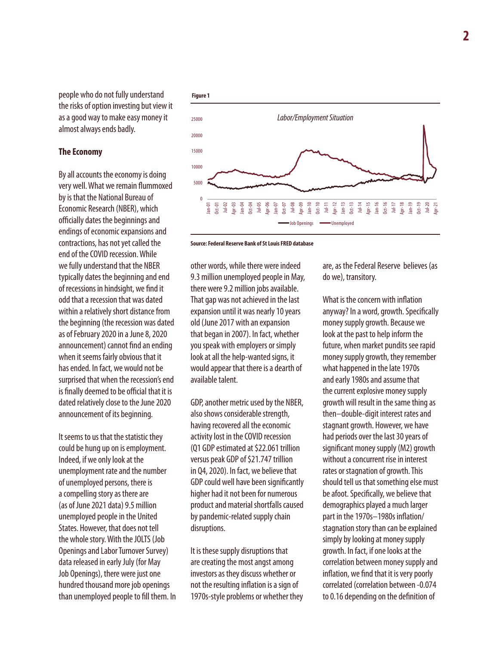people who do not fully understand the risks of option investing but view it as a good way to make easy money it almost always ends badly.

#### **The Economy**

By all accounts the economy is doing very well. What we remain flummoxed by is that the National Bureau of Economic Research (NBER), which officially dates the beginnings and endings of economic expansions and contractions, has not yet called the end of the COVID recession. While we fully understand that the NBER typically dates the beginning and end of recessions in hindsight, we find it odd that a recession that was dated within a relatively short distance from the beginning (the recession was dated as of February 2020 in a June 8, 2020 announcement) cannot find an ending when it seems fairly obvious that it has ended. In fact, we would not be surprised that when the recession's end is finally deemed to be official that it is dated relatively close to the June 2020 announcement of its beginning.

It seems to us that the statistic they could be hung up on is employment. Indeed, if we only look at the unemployment rate and the number of unemployed persons, there is a compelling story as there are (as of June 2021 data) 9.5 million unemployed people in the United States. However, that does not tell the whole story. With the JOLTS (Job Openings and Labor Turnover Survey) data released in early July (for May Job Openings), there were just one hundred thousand more job openings than unemployed people to fill them. In





other words, while there were indeed 9.3 million unemployed people in May, there were 9.2 million jobs available. That gap was not achieved in the last expansion until it was nearly 10 years old (June 2017 with an expansion that began in 2007). In fact, whether you speak with employers or simply look at all the help-wanted signs, it would appear that there is a dearth of available talent.

GDP, another metric used by the NBER, also shows considerable strength, having recovered all the economic activity lost in the COVID recession (Q1 GDP estimated at \$22.061 trillion versus peak GDP of \$21.747 trillion in Q4, 2020). In fact, we believe that GDP could well have been significantly higher had it not been for numerous product and material shortfalls caused by pandemic-related supply chain disruptions.

It is these supply disruptions that are creating the most angst among investors as they discuss whether or not the resulting inflation is a sign of 1970s-style problems or whether they are, as the Federal Reserve believes (as do we), transitory.

What is the concern with inflation anyway? In a word, growth. Specifically money supply growth. Because we look at the past to help inform the future, when market pundits see rapid money supply growth, they remember what happened in the late 1970s and early 1980s and assume that the current explosive money supply growth will result in the same thing as then–double-digit interest rates and stagnant growth. However, we have had periods over the last 30 years of significant money supply (M2) growth without a concurrent rise in interest rates or stagnation of growth. This should tell us that something else must be afoot. Specifically, we believe that demographics played a much larger part in the 1970s–1980s inflation/ stagnation story than can be explained simply by looking at money supply growth. In fact, if one looks at the correlation between money supply and inflation, we find that it is very poorly correlated (correlation between -0.074 to 0.16 depending on the definition of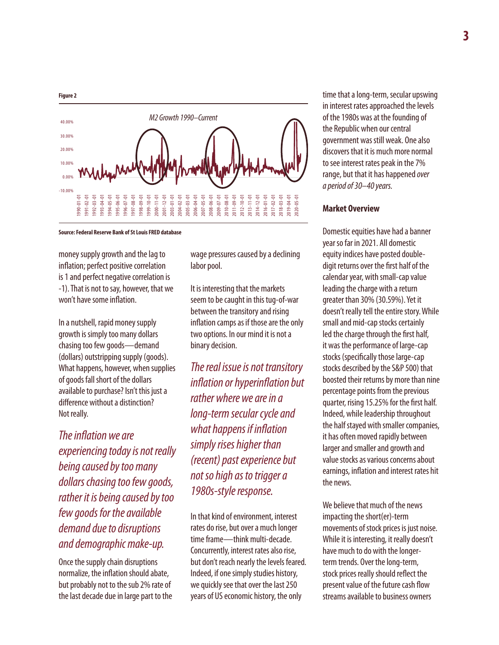



**Source: Federal Reserve Bank of St Louis FRED database**

money supply growth and the lag to inflation; perfect positive correlation is 1 and perfect negative correlation is -1). That is not to say, however, that we won't have some inflation.

In a nutshell, rapid money supply growth is simply too many dollars chasing too few goods—demand (dollars) outstripping supply (goods). What happens, however, when supplies of goods fall short of the dollars available to purchase? Isn't this just a difference without a distinction? Not really.

*The inflation we are experiencing today is not really being caused by too many dollars chasing too few goods, rather it is being caused by too few goods for the available demand due to disruptions and demographic make-up.*

Once the supply chain disruptions normalize, the inflation should abate, but probably not to the sub 2% rate of the last decade due in large part to the wage pressures caused by a declining labor pool.

It is interesting that the markets seem to be caught in this tug-of-war between the transitory and rising inflation camps as if those are the only two options. In our mind it is not a binary decision.

*The real issue is not transitory inflation or hyperinflation but rather where we are in a long-term secular cycle and what happens if inflation simply rises higher than (recent) past experience but not so high as to trigger a 1980s-style response.* 

In that kind of environment, interest rates do rise, but over a much longer time frame—think multi-decade. Concurrently, interest rates also rise, but don't reach nearly the levels feared. Indeed, if one simply studies history, we quickly see that over the last 250 years of US economic history, the only

time that a long-term, secular upswing in interest rates approached the levels of the 1980s was at the founding of the Republic when our central government was still weak. One also discovers that it is much more normal to see interest rates peak in the 7% range, but that it has happened *over a period of 30–40 years.*

#### **Market Overview**

Domestic equities have had a banner year so far in 2021. All domestic equity indices have posted doubledigit returns over the first half of the calendar year, with small-cap value leading the charge with a return greater than 30% (30.59%). Yet it doesn't really tell the entire story. While small and mid-cap stocks certainly led the charge through the first half, it was the performance of large-cap stocks (specifically those large-cap stocks described by the S&P 500) that boosted their returns by more than nine percentage points from the previous quarter, rising 15.25% for the first half. Indeed, while leadership throughout the half stayed with smaller companies, it has often moved rapidly between larger and smaller and growth and value stocks as various concerns about earnings, inflation and interest rates hit the news.

We believe that much of the news impacting the short(er)-term movements of stock prices is just noise. While it is interesting, it really doesn't have much to do with the longerterm trends. Over the long-term, stock prices really should reflect the present value of the future cash flow streams available to business owners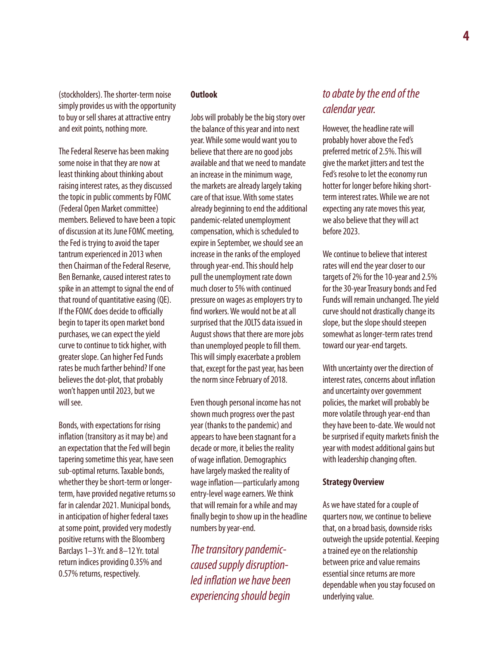(stockholders). The shorter-term noise simply provides us with the opportunity to buy or sell shares at attractive entry and exit points, nothing more.

The Federal Reserve has been making some noise in that they are now at least thinking about thinking about raising interest rates, as they discussed the topic in public comments by FOMC (Federal Open Market committee) members. Believed to have been a topic of discussion at its June FOMC meeting, the Fed is trying to avoid the taper tantrum experienced in 2013 when then Chairman of the Federal Reserve, Ben Bernanke, caused interest rates to spike in an attempt to signal the end of that round of quantitative easing (QE). If the FOMC does decide to officially begin to taper its open market bond purchases, we can expect the yield curve to continue to tick higher, with greater slope. Can higher Fed Funds rates be much farther behind? If one believes the dot-plot, that probably won't happen until 2023, but we will see.

Bonds, with expectations for rising inflation (transitory as it may be) and an expectation that the Fed will begin tapering sometime this year, have seen sub-optimal returns. Taxable bonds, whether they be short-term or longerterm, have provided negative returns so far in calendar 2021. Municipal bonds, in anticipation of higher federal taxes at some point, provided very modestly positive returns with the Bloomberg Barclays 1–3 Yr. and 8–12 Yr. total return indices providing 0.35% and 0.57% returns, respectively.

#### **Outlook**

Jobs will probably be the big story over the balance of this year and into next year. While some would want you to believe that there are no good jobs available and that we need to mandate an increase in the minimum wage, the markets are already largely taking care of that issue. With some states already beginning to end the additional pandemic-related unemployment compensation, which is scheduled to expire in September, we should see an increase in the ranks of the employed through year-end. This should help pull the unemployment rate down much closer to 5% with continued pressure on wages as employers try to find workers. We would not be at all surprised that the JOLTS data issued in August shows that there are more jobs than unemployed people to fill them. This will simply exacerbate a problem that, except for the past year, has been the norm since February of 2018.

Even though personal income has not shown much progress over the past year (thanks to the pandemic) and appears to have been stagnant for a decade or more, it belies the reality of wage inflation. Demographics have largely masked the reality of wage inflation—particularly among entry-level wage earners. We think that will remain for a while and may finally begin to show up in the headline numbers by year-end.

*The transitory pandemiccaused supply disruptionled inflation we have been experiencing should begin* 

### *to abate by the end of the calendar year.*

However, the headline rate will probably hover above the Fed's preferred metric of 2.5%. This will give the market jitters and test the Fed's resolve to let the economy run hotter for longer before hiking shortterm interest rates. While we are not expecting any rate moves this year, we also believe that they will act before 2023.

We continue to believe that interest rates will end the year closer to our targets of 2% for the 10-year and 2.5% for the 30-year Treasury bonds and Fed Funds will remain unchanged. The yield curve should not drastically change its slope, but the slope should steepen somewhat as longer-term rates trend toward our year-end targets.

With uncertainty over the direction of interest rates, concerns about inflation and uncertainty over government policies, the market will probably be more volatile through year-end than they have been to-date. We would not be surprised if equity markets finish the year with modest additional gains but with leadership changing often.

#### **Strategy Overview**

As we have stated for a couple of quarters now, we continue to believe that, on a broad basis, downside risks outweigh the upside potential. Keeping a trained eye on the relationship between price and value remains essential since returns are more dependable when you stay focused on underlying value.